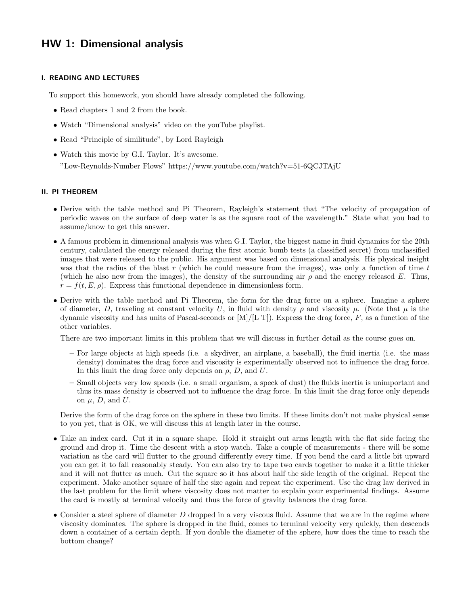# HW 1: Dimensional analysis

### I. READING AND LECTURES

To support this homework, you should have already completed the following.

- Read chapters 1 and 2 from the book.
- Watch "Dimensional analysis" video on the youTube playlist.
- Read "Principle of similitude", by Lord Rayleigh
- Watch this movie by G.I. Taylor. It's awesome. "Low-Reynolds-Number Flows" https://www.youtube.com/watch?v=51-6QCJTAjU

## II. PI THEOREM

- Derive with the table method and Pi Theorem, Rayleigh's statement that "The velocity of propagation of periodic waves on the surface of deep water is as the square root of the wavelength." State what you had to assume/know to get this answer.
- A famous problem in dimensional analysis was when G.I. Taylor, the biggest name in fluid dynamics for the 20th century, calculated the energy released during the first atomic bomb tests (a classified secret) from unclassified images that were released to the public. His argument was based on dimensional analysis. His physical insight was that the radius of the blast r (which he could measure from the images), was only a function of time  $t$ (which he also new from the images), the density of the surrounding air  $\rho$  and the energy released E. Thus,  $r = f(t, E, \rho)$ . Express this functional dependence in dimensionless form.
- Derive with the table method and Pi Theorem, the form for the drag force on a sphere. Imagine a sphere of diameter, D, traveling at constant velocity U, in fluid with density  $\rho$  and viscosity  $\mu$ . (Note that  $\mu$  is the dynamic viscosity and has units of Pascal-seconds or  $[M]/[L]$ . Express the drag force, F, as a function of the other variables.

There are two important limits in this problem that we will discuss in further detail as the course goes on.

- For large objects at high speeds (i.e. a skydiver, an airplane, a baseball), the fluid inertia (i.e. the mass density) dominates the drag force and viscosity is experimentally observed not to influence the drag force. In this limit the drag force only depends on  $\rho$ , D, and U.
- Small objects very low speeds (i.e. a small organism, a speck of dust) the fluids inertia is unimportant and thus its mass density is observed not to influence the drag force. In this limit the drag force only depends on  $\mu$ , D, and U.

Derive the form of the drag force on the sphere in these two limits. If these limits don't not make physical sense to you yet, that is OK, we will discuss this at length later in the course.

- Take an index card. Cut it in a square shape. Hold it straight out arms length with the flat side facing the ground and drop it. Time the descent with a stop watch. Take a couple of measurements - there will be some variation as the card will flutter to the ground differently every time. If you bend the card a little bit upward you can get it to fall reasonably steady. You can also try to tape two cards together to make it a little thicker and it will not flutter as much. Cut the square so it has about half the side length of the original. Repeat the experiment. Make another square of half the size again and repeat the experiment. Use the drag law derived in the last problem for the limit where viscosity does not matter to explain your experimental findings. Assume the card is mostly at terminal velocity and thus the force of gravity balances the drag force.
- Consider a steel sphere of diameter  $D$  dropped in a very viscous fluid. Assume that we are in the regime where viscosity dominates. The sphere is dropped in the fluid, comes to terminal velocity very quickly, then descends down a container of a certain depth. If you double the diameter of the sphere, how does the time to reach the bottom change?